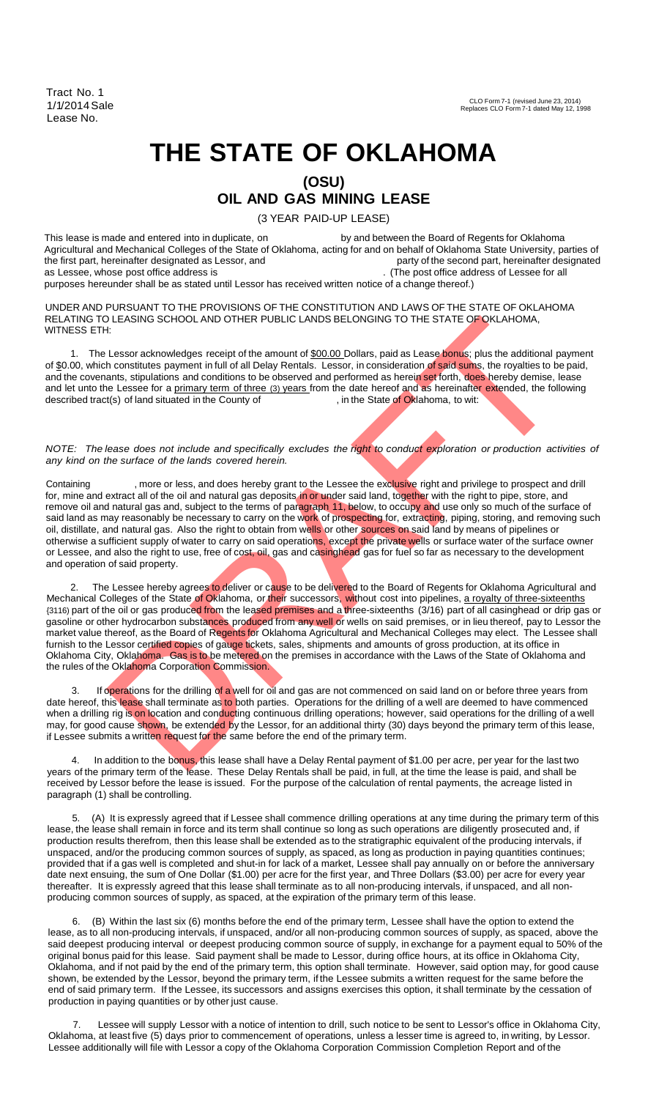Tract No. 1 1/1/2014Sale Lease No.

## **THE STATE OF OKLAHOMA (OSU)**

## **OIL AND GAS MINING LEASE**

(3 YEAR PAID-UP LEASE)

This lease is made and entered into in duplicate, on by and between the Board of Regents for Oklahoma Agricultural and Mechanical Colleges of the State of Oklahoma, acting for and on behalf of Oklahoma State University, parties of the first part, hereinafter designated as Lessor, and<br>as Lessee, whose post office address is (The post office address of Lessee for all

purposes hereunder shall be as stated until Lessor has received written notice of a change thereof.)

UNDER AND PURSUANT TO THE PROVISIONS OF THE CONSTITUTION AND LAWS OF THE STATE OF OKLAHOMA RELATING TO LEASING SCHOOL AND OTHER PUBLIC LANDS BELONGING TO THE STATE OF OKLAHOMA, WITNESS ETH:

1. The Lessor acknowledges receipt of the amount of \$00.00 Dollars, paid as Lease bonus; plus the additional payment of \$0.00, which constitutes payment in full of all Delay Rentals. Lessor, in consideration of said sums, the royalties to be paid, and the covenants, stipulations and conditions to be observed and performed as herein set forth, does hereby demise, lease and let unto the Lessee for a primary term of three (3) years from the date hereof and as hereinafter extended, the following described tract(s) of land situated in the County of , in the State of Oklahoma, to wit: described tract(s) of land situated in the County of

*NOTE: The lease does not include and specifically excludes the right to conduct exploration or production activities of any kind on the surface of the lands covered herein.*

LEASING SCHOOL AND OTHER PUBLIC LANDS BELONGING TO THE STATE OF OKLAHOMA,<br>Lessor acknowledges receipt of the amount of <u>500.00</u> Dollars, paid as Lesse borus; plus the additional payment<br>Lessor acknowledges receipt of the a Containing , more or less, and does hereby grant to the Lessee the exclusive right and privilege to prospect and drill for, mine and extract all of the oil and natural gas deposits in or under said land, together with the right to pipe, store, and remove oil and natural gas and, subject to the terms of paragraph 11, below, to occupy and use only so much of the surface of said land as may reasonably be necessary to carry on the work of prospecting for, extracting, piping, storing, and removing such oil, distillate, and natural gas. Also the right to obtain from wells or other sources on said land by means of pipelines or otherwise a sufficient supply of water to carry on said operations, except the private wells or surface water of the surface owner or Lessee, and also the right to use, free of cost, oil, gas and casinghead gas for fuel so far as necessary to the development and operation of said property.

2. The Lessee hereby agrees to deliver or cause to be deli<mark>vere</mark>d to the Board of Regents for Oklahoma Agricultural and Mechanical Colleges of the State of Oklahoma, or their successors, without cost into pipelines, <u>a royalty of three-sixteenths</u> {3116) part of the oil or gas produced from the leased premises and a three-sixteenths (3/16) part of all casinghead or drip gas or gasoline or other hydrocarbon substances produced from any well or wells on said premises, or in lieu thereof, pay to Lessor the market value thereof, as the Board of Regents for Oklahoma Agricultural and Mechanical Colleges may elect. The Lessee shall furnish to the Lessor certified copies of gauge tickets, sales, shipments and amounts of gross production, at its office in Oklahoma City, Oklahoma. Gas is to be metered on the premises in accordance with the Laws of the State of Oklahoma and the rules of the Oklahoma Corporation Commission.

3. If operations for the drilling of a well for oil and gas are not commenced on said land on or before three years from date hereof, this lease shall terminate as to both parties. Operations for the drilling of a well are deemed to have commenced when a drilling rig is on location and conducting continuous drilling operations; however, said operations for the drilling of a well may, for good cause shown, be extended by the Lessor, for an additional thirty (30) days beyond the primary term of this lease, if Lessee submits a written request for the same before the end of the primary term.

In addition to the bonus, this lease shall have a Delay Rental payment of \$1.00 per acre, per year for the last two years of the primary term of the lease. These Delay Rentals shall be paid, in full, at the time the lease is paid, and shall be received by Lessor before the lease is issued. For the purpose of the calculation of rental payments, the acreage listed in paragraph (1) shall be controlling.

5. (A) It is expressly agreed that if Lessee shall commence drilling operations at any time during the primary term of this lease, the lease shall remain in force and its term shall continue so long as such operations are diligently prosecuted and, if production results therefrom, then this lease shall be extended as to the stratigraphic equivalent of the producing intervals, if unspaced, and/or the producing common sources of supply, as spaced, as long as production in paying quantities continues; provided that if a gas well is completed and shut-in for lack of a market, Lessee shall pay annually on or before the anniversary date next ensuing, the sum of One Dollar (\$1.00) per acre for the first year, and Three Dollars (\$3.00) per acre for every year thereafter. It is expressly agreed that this lease shall terminate as to all non-producing intervals, if unspaced, and all nonproducing common sources of supply, as spaced, at the expiration of the primary term of this lease.

6. (B) Within the last six (6) months before the end of the primary term, Lessee shall have the option to extend the lease, as to all non-producing intervals, if unspaced, and/or all non-producing common sources of supply, as spaced, above the said deepest producing interval or deepest producing common source of supply, in exchange for a payment equal to 50% of the original bonus paid for this lease. Said payment shall be made to Lessor, during office hours, at its office in Oklahoma City, Oklahoma, and if not paid by the end of the primary term, this option shall terminate. However, said option may, for good cause shown, be extended by the Lessor, beyond the primary term, if the Lessee submits a written request for the same before the end of said primary term. If the Lessee, its successors and assigns exercises this option, it shall terminate by the cessation of production in paying quantities or by other just cause.

Lessee will supply Lessor with a notice of intention to drill, such notice to be sent to Lessor's office in Oklahoma City, Oklahoma, at least five (5) days prior to commencement of operations, unless a lesser time is agreed to, in writing, by Lessor. Lessee additionally will file with Lessor a copy of the Oklahoma Corporation Commission Completion Report and of the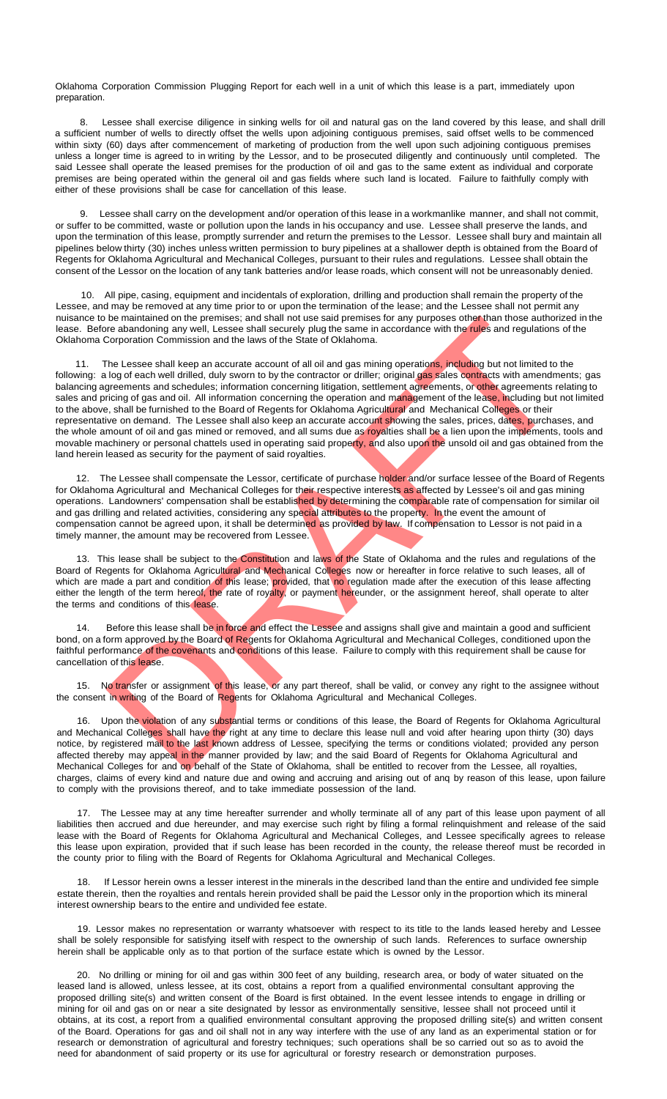Oklahoma Corporation Commission Plugging Report for each well in a unit of which this lease is a part, immediately upon preparation.

8. Lessee shall exercise diligence in sinking wells for oil and natural gas on the land covered by this lease, and shall drill a sufficient number of wells to directly offset the wells upon adjoining contiguous premises, said offset wells to be commenced within sixty (60) days after commencement of marketing of production from the well upon such adjoining contiguous premises unless a longer time is agreed to in writing by the Lessor, and to be prosecuted diligently and continuously until completed. The said Lessee shall operate the leased premises for the production of oil and gas to the same extent as individual and corporate premises are being operated within the general oil and gas fields where such land is located. Failure to faithfully comply with either of these provisions shall be case for cancellation of this lease.

9. Lessee shall carry on the development and/or operation of this lease in a workmanlike manner, and shall not commit, or suffer to be committed, waste or pollution upon the lands in his occupancy and use. Lessee shall preserve the lands, and upon the termination of this lease, promptly surrender and return the premises to the Lessor. Lessee shall bury and maintain all pipelines below thirty (30) inches unless written permission to bury pipelines at a shallower depth is obtained from the Board of Regents for Oklahoma Agricultural and Mechanical Colleges, pursuant to their rules and regulations. Lessee shall obtain the consent of the Lessor on the location of any tank batteries and/or lease roads, which consent will not be unreasonably denied.

10. All pipe, casing, equipment and incidentals of exploration, drilling and production shall remain the property of the Lessee, and may be removed at any time prior to or upon the termination of the lease; and the Lessee shall not permit any nuisance to be maintained on the premises; and shall not use said premises for any purposes other than those authorized in the lease. Before abandoning any well, Lessee shall securely plug the same in accordance with the rules and regulations of the Oklahoma Corporation Commission and the laws of the State of Oklahoma.

be maintained on the prements, and shall not use said prements for any purposes free than those authors of the present of the State of CMshoma, and the two of the State of CMshoma, shall be main to a consider the considera 11. The Lessee shall keep an accurate account of all oil and gas mining operations, including but not limited to the following: a log of each well drilled, duly sworn to by the contractor or driller; original gas sales contracts with amendments; gas balancing agreements and schedules; information concerning litigation, settlement agreements, or other agreements relating to sales and pricing of gas and oil. All information concerning the operation and management of the lease, including but not limited to the above, shall be furnished to the Board of Regents for Oklahoma Agricultural and Mechanical Colleges or their representative on demand. The Lessee shall also keep an accurate account showing the sales, prices, dates, purchases, and the whole amount of oil and gas mined or removed, and all sums due as royalties shall be a lien upon the implements, tools and movable machinery or personal chattels used in operating said property, and also upon the unsold oil and gas obtained from the land herein leased as security for the payment of said royalties.

12. The Lessee shall compensate the Lessor, certificate of purchase holder and/or surface lessee of the Board of Regents for Oklahoma Agricultural and Mechanical Colleges for their respective interests as affected by Lessee's oil and gas mining operations. Landowners' compensation shall be established by determining the comparable rate of compensation for similar oil and gas drilling and related activities, considering any special attributes to the property. In the event the amount of compensation cannot be agreed upon, it shall be determined as provided by law. If compensation to Lessor is not paid in a timely manner, the amount may be recovered from Lessee.

13. This lease shall be subject to the Constitution and laws of the State of Oklahoma and the rules and regulations of the Board of Regents for Oklahoma Agricultural and Mechanical Colleges now or hereafter in force relative to such leases, all of which are made a part and condition of this lease; provided, that no regulation made after the execution of this lease affecting either the length of the term hereof, the rate of royalty, or payment hereunder, or the assignment hereof, shall operate to alter the terms and conditions of this lease.

Before this lease shall be in force and effect the Lessee and assigns shall give and maintain a good and sufficient bond, on a form approved by the Board of Regents for Oklahoma Agricultural and Mechanical Colleges, conditioned upon the faithful performance of the covenants and conditions of this lease. Failure to comply with this requirement shall be cause for cancellation of this lease.

15. No transfer or assignment of this lease, or any part thereof, shall be valid, or convey any right to the assignee without the consent in writing of the Board of Regents for Oklahoma Agricultural and Mechanical Colleges.

16. Upon the violation of any substantial terms or conditions of this lease, the Board of Regents for Oklahoma Agricultural and Mechanical Colleges shall have the right at any time to declare this lease null and void after hearing upon thirty (30) days notice, by registered mail to the last known address of Lessee, specifying the terms or conditions violated; provided any person affected thereby may appeal in the manner provided by law; and the said Board of Regents for Oklahoma Agricultural and Mechanical Colleges for and on behalf of the State of Oklahoma, shall be entitled to recover from the Lessee, all royalties, charges, claims of every kind and nature due and owing and accruing and arising out of anq by reason of this lease, upon failure to comply with the provisions thereof, and to take immediate possession of the land.

17. The Lessee may at any time hereafter surrender and wholly terminate all of any part of this lease upon payment of all liabilities then accrued and due hereunder, and may exercise such right by filing a formal relinquishment and release of the said lease with the Board of Regents for Oklahoma Agricultural and Mechanical Colleges, and Lessee specifically agrees to release this lease upon expiration, provided that if such lease has been recorded in the county, the release thereof must be recorded in the county prior to filing with the Board of Regents for Oklahoma Agricultural and Mechanical Colleges.

18. If Lessor herein owns a lesser interest in the minerals in the described land than the entire and undivided fee simple estate therein, then the royalties and rentals herein provided shall be paid the Lessor only in the proportion which its mineral interest ownership bears to the entire and undivided fee estate.

19. Lessor makes no representation or warranty whatsoever with respect to its title to the lands leased hereby and Lessee shall be solely responsible for satisfying itself with respect to the ownership of such lands. References to surface ownership herein shall be applicable only as to that portion of the surface estate which is owned by the Lessor.

20. No drilling or mining for oil and gas within 300 feet of any building, research area, or body of water situated on the leased land is allowed, unless lessee, at its cost, obtains a report from a qualified environmental consultant approving the proposed drilling site(s) and written consent of the Board is first obtained. In the event lessee intends to engage in drilling or mining for oil and gas on or near a site designated by lessor as environmentally sensitive, lessee shall not proceed until it obtains, at its cost, a report from a qualified environmental consultant approving the proposed drilling site(s) and written consent of the Board. Operations for gas and oil shall not in any way interfere with the use of any land as an experimental station or for research or demonstration of agricultural and forestry techniques; such operations shall be so carried out so as to avoid the need for abandonment of said property or its use for agricultural or forestry research or demonstration purposes.